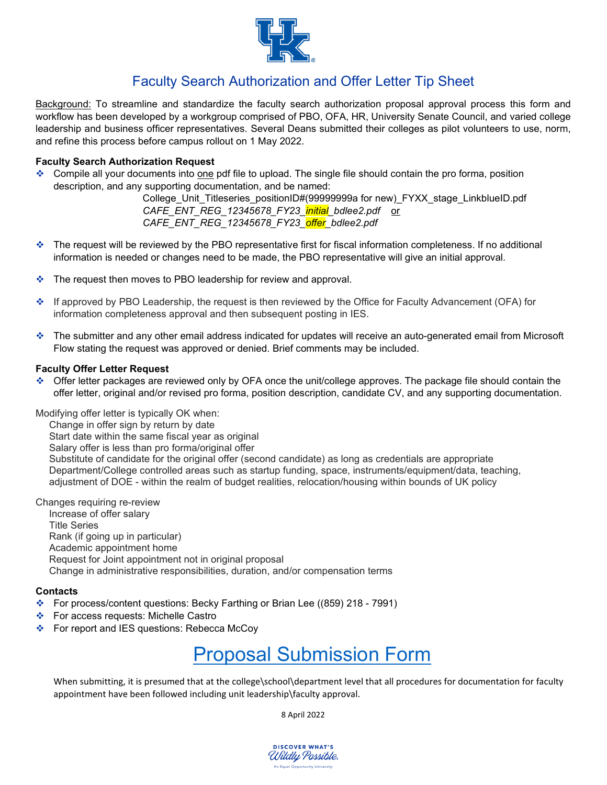

# Faculty Search Authorization and Offer Letter Tip Sheet

Background: To streamline and standardize the faculty search authorization proposal approval process this form and workflow has been developed by a workgroup comprised of PBO, OFA, HR, University Senate Council, and varied college leadership and business officer representatives. Several Deans submitted their colleges as pilot volunteers to use, norm, and refine this process before campus rollout on 1 May 2022.

### **Faculty Search Authorization Request**

 Compile all your documents into one pdf file to upload. The single file should contain the pro forma, position description, and any supporting documentation, and be named:

> College\_Unit\_Titleseries\_positionID#(99999999a for new)\_FYXX\_stage\_LinkblueID.pdf *CAFE\_ENT\_REG\_12345678\_FY23\_initial\_bdlee2.pdf* or *CAFE\_ENT\_REG\_12345678\_FY23\_offer\_bdlee2.pdf*

- $\cdot$  The request will be reviewed by the PBO representative first for fiscal information completeness. If no additional information is needed or changes need to be made, the PBO representative will give an initial approval.
- The request then moves to PBO leadership for review and approval.
- If approved by PBO Leadership, the request is then reviewed by the Office for Faculty Advancement (OFA) for information completeness approval and then subsequent posting in IES.
- The submitter and any other email address indicated for updates will receive an auto-generated email from Microsoft Flow stating the request was approved or denied. Brief comments may be included.

#### **Faculty Offer Letter Request**

 Offer letter packages are reviewed only by OFA once the unit/college approves. The package file should contain the offer letter, original and/or revised pro forma, position description, candidate CV, and any supporting documentation.

Modifying offer letter is typically OK when:

Change in offer sign by return by date Start date within the same fiscal year as original Salary offer is less than pro forma/original offer Substitute of candidate for the original offer (second candidate) as long as credentials are appropriate Department/College controlled areas such as startup funding, space, instruments/equipment/data, teaching, adjustment of DOE - within the realm of budget realities, relocation/housing within bounds of UK policy

Changes requiring re-review Increase of offer salary

Title Series Rank (if going up in particular) Academic appointment home Request for Joint appointment not in original proposal Change in administrative responsibilities, duration, and/or compensation terms

#### **Contacts**

- For process/content questions: Becky Farthing or Brian Lee ((859) 218 7991)
- ❖ For access requests: Michelle Castro
- For report and IES questions: Rebecca McCoy

# [Proposal Submission Form](https://forms.office.com/pages/responsepage.aspx?id=C1MwK7ZpV0S4GEgctT1CrqzU9W3UUjhArEIvXZ2Ia9pUREEwQUdaVzlEQldMVUxNMlpSTVdOVFkxSy4u)

When submitting, it is presumed that at the college\school\department level that all procedures for documentation for faculty appointment have been followed including unit leadership\faculty approval.

8 April 2022

**DISCOVER WHAT'S** Wildly Possible. An Equal Opportunity University